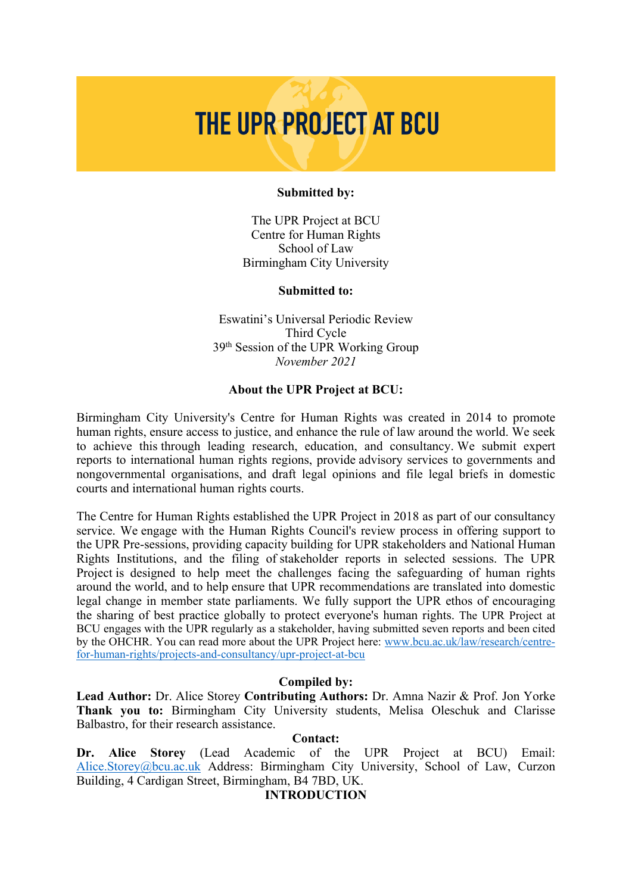# THE UPR PROJECT AT BCU

#### **Submitted by:**

The UPR Project at BCU Centre for Human Rights School of Law Birmingham City University

#### **Submitted to:**

Eswatini'<sup>s</sup> Universal Periodic Review Third Cycle 39th Session of the UPR Working Group *November 2021*

### **About the UPR Project at BCU:**

Birmingham City University's Centre for Human Rights was created in 2014 to promote human rights, ensure access to justice, and enhance the rule of law around the world. We seek to achieve this through leading research, education, and consultancy. We submit exper<sup>t</sup> reports to international human rights regions, provide advisory services to governments and nongovernmental organisations, and draft legal opinions and file legal briefs in domestic courts and international human rights courts.

The Centre for Human Rights established the UPR Project in 2018 as par<sup>t</sup> of our consultancy service. We engage with the Human Rights Council's review process in offering suppor<sup>t</sup> to the UPR Pre-sessions, providing capacity building for UPR stakeholders and National Human Rights Institutions, and the filing of stakeholder reports in selected sessions. The UPR Project is designed to help meet the challenges facing the safeguarding of human rights around the world, and to help ensure that UPR recommendations are translated into domestic legal change in member state parliaments. We fully suppor<sup>t</sup> the UPR ethos of encouraging the sharing of best practice globally to protect everyone's human rights. The UPR Project at BCU engages with the UPR regularly as <sup>a</sup> stakeholder, having submitted seven reports and been cited by the OHCHR. You can read more about the UPR Project here: [www.bcu.ac.uk/law/research/centre](http://www.bcu.ac.uk/law/research/centre-for-human-rights/projects-and-consultancy/upr-project-at-bcu)[for-human-rights/projects-and-consultancy/upr-project-at-bcu](http://www.bcu.ac.uk/law/research/centre-for-human-rights/projects-and-consultancy/upr-project-at-bcu)

## **Compiled by:**

**Lead Author:** Dr. Alice Storey **Contributing Authors:** Dr. Amna Nazir & Prof. Jon Yorke **Thank you to:** Birmingham City University students, Melisa Oleschuk and Clarisse Balbastro, for their research assistance.

### **Contact:**

**Dr. Alice Storey** (Lead Academic of the UPR Project at BCU) Email: [Alice.Storey@bcu.ac.uk](mailto:Alice.Storey@bcu.ac.uk) Address: Birmingham City University, School of Law, Curzon Building, 4 Cardigan Street, Birmingham, B4 7BD, UK.

#### **INTRODUCTION**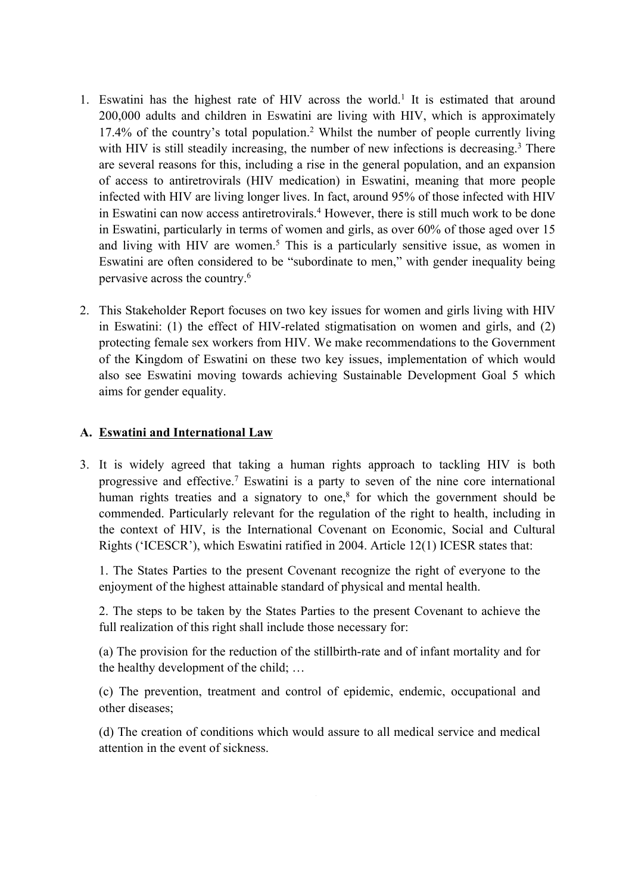- 1. Eswatini has the highest rate of HIV across the world.<sup>1</sup> It is estimated that around 200,000 adults and children in Eswatini are living with HIV, which is approximately 17.4% of the country'<sup>s</sup> total population. <sup>2</sup> Whilst the number of people currently living with HIV is still steadily increasing, the number of new infections is decreasing.<sup>3</sup> There are several reasons for this, including <sup>a</sup> rise in the general population, and an expansion of access to antiretrovirals (HIV medication) in Eswatini, meaning that more people infected with HIV are living longer lives. In fact, around 95% of those infected with HIV in Eswatini can now access antiretrovirals. <sup>4</sup> However, there is still much work to be done in Eswatini, particularly in terms of women and girls, as over 60% of those aged over 15 and living with HIV are women. 5 This is <sup>a</sup> particularly sensitive issue, as women in Eswatini are often considered to be "subordinate to men," with gender inequality being pervasive across the country. 6
- 2. This Stakeholder Report focuses on two key issues for women and girls living with HIV in Eswatini: (1) the effect of HIV-related stigmatisation on women and girls, and (2) protecting female sex workers from HIV. We make recommendations to the Government of the Kingdom of Eswatini on these two key issues, implementation of which would also see Eswatini moving towards achieving Sustainable Development Goal 5 which aims for gender equality.

## **A. Eswatini and International Law**

3. It is widely agreed that taking <sup>a</sup> human rights approach to tackling HIV is both progressive and effective. 7 Eswatini is <sup>a</sup> party to seven of the nine core international human rights treaties and <sup>a</sup> signatory to one, 8 for which the governmen<sup>t</sup> should be commended. Particularly relevant for the regulation of the right to health, including in the context of HIV, is the International Covenant on Economic, Social and Cultural Rights ('ICESCR'), which Eswatini ratified in 2004. Article 12(1) ICESR states that:

1. The States Parties to the presen<sup>t</sup> Covenant recognize the right of everyone to the enjoyment of the highest attainable standard of physical and mental health.

2. The steps to be taken by the States Parties to the presen<sup>t</sup> Covenant to achieve the full realization of this right shall include those necessary for:

(a) The provision for the reduction of the stillbirth-rate and of infant mortality and for the healthy development of the child; …

(c) The prevention, treatment and control of epidemic, endemic, occupational and other diseases;

(d) The creation of conditions which would assure to all medical service and medical attention in the event of sickness.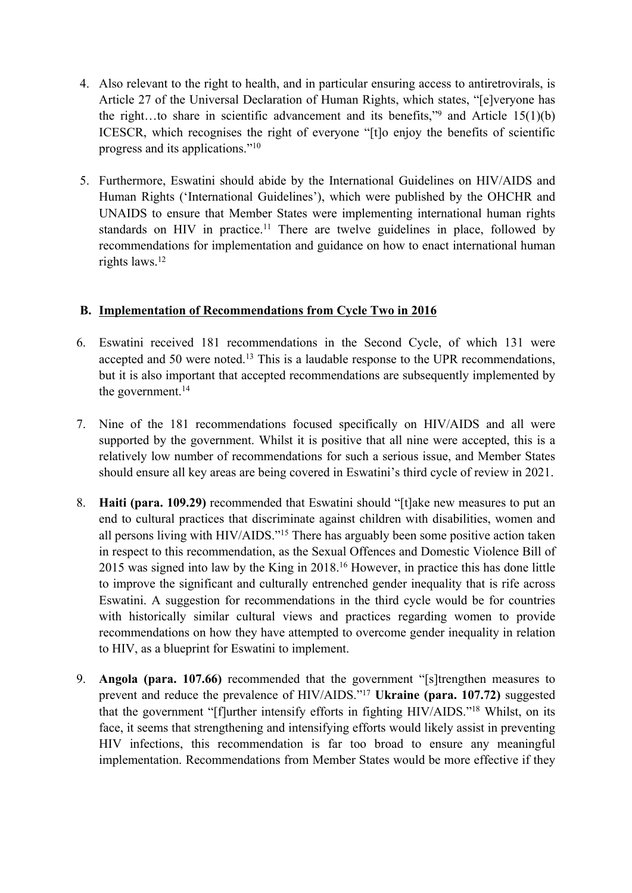- 4. Also relevant to the right to health, and in particular ensuring access to antiretrovirals, is Article 27 of the Universal Declaration of Human Rights, which states, "[e]veryone has the right...to share in scientific advancement and its benefits," and Article  $15(1)(b)$ ICESCR, which recognises the right of everyone "[t]o enjoy the benefits of scientific progress and its applications."<sup>10</sup>
- 5. Furthermore, Eswatini should abide by the International Guidelines on HIV/AIDS and Human Rights ('International Guidelines'), which were published by the OHCHR and UNAIDS to ensure that Member States were implementing international human rights standards on HIV in practice.<sup>11</sup> There are twelve guidelines in place, followed by recommendations for implementation and guidance on how to enact international human rights laws. 12

## **B. Implementation of Recommendations from Cycle Two in 2016**

- 6. Eswatini received 181 recommendations in the Second Cycle, of which 131 were accepted and 50 were noted.<sup>13</sup> This is a laudable response to the UPR recommendations, but it is also important that accepted recommendations are subsequently implemented by the government. 14
- 7. Nine of the 181 recommendations focused specifically on HIV/AIDS and all were supported by the government. Whilst it is positive that all nine were accepted, this is <sup>a</sup> relatively low number of recommendations for such <sup>a</sup> serious issue, and Member States should ensure all key areas are being covered in Eswatini'<sup>s</sup> third cycle of review in 2021.
- 8. **Haiti (para. 109.29)** recommended that Eswatini should "[t]ake new measures to pu<sup>t</sup> an end to cultural practices that discriminate against children with disabilities, women and all persons living with HIV/AIDS."<sup>15</sup> There has arguably been some positive action taken in respec<sup>t</sup> to this recommendation, as the Sexual Offences and Domestic Violence Bill of 2015 was signed into law by the King in 2018. <sup>16</sup> However, in practice this has done little to improve the significant and culturally entrenched gender inequality that is rife across Eswatini. A suggestion for recommendations in the third cycle would be for countries with historically similar cultural views and practices regarding women to provide recommendations on how they have attempted to overcome gender inequality in relation to HIV, as <sup>a</sup> blueprint for Eswatini to implement.
- 9. **Angola (para. 107.66)** recommended that the governmen<sup>t</sup> "[s]trengthen measures to preven<sup>t</sup> and reduce the prevalence of HIV/AIDS."<sup>17</sup> **Ukraine (para. 107.72)** suggested that the governmen<sup>t</sup> "[f]urther intensify efforts in fighting HIV/AIDS."<sup>18</sup> Whilst, on its face, it seems that strengthening and intensifying efforts would likely assist in preventing HIV infections, this recommendation is far too broad to ensure any meaningful implementation. Recommendations from Member States would be more effective if they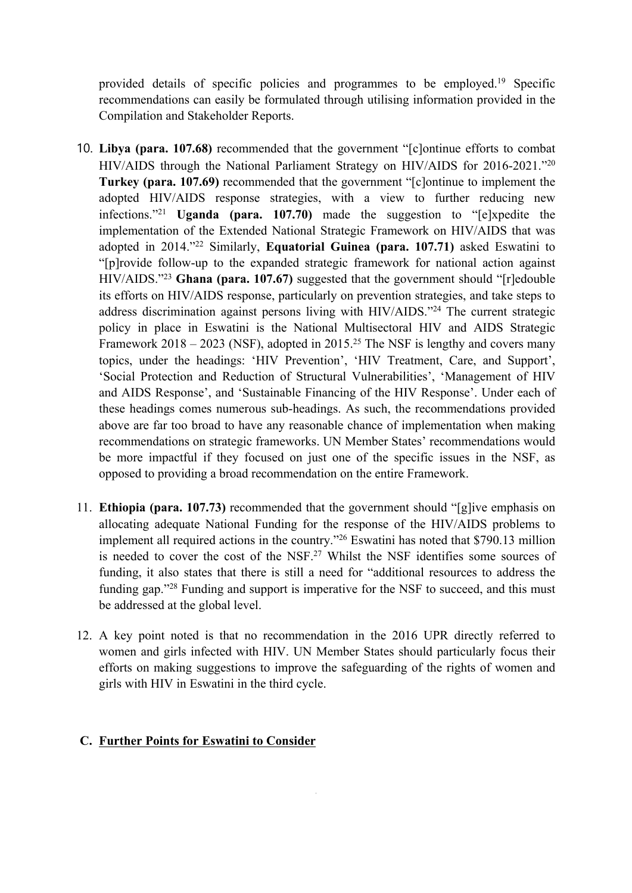provided details of specific policies and programmes to be employed. 19 Specific recommendations can easily be formulated through utilising information provided in the Compilation and Stakeholder Reports.

- 10. **Libya (para. 107.68)** recommended that the governmen<sup>t</sup> "[c]ontinue efforts to combat HIV/AIDS through the National Parliament Strategy on HIV/AIDS for 2016-2021."<sup>20</sup> **Turkey (para. 107.69)** recommended that the governmen<sup>t</sup> "[c]ontinue to implement the adopted HIV/AIDS response strategies, with <sup>a</sup> view to further reducing new infections."<sup>21</sup> **Uganda (para. 107.70)** made the suggestion to "[e]xpedite the implementation of the Extended National Strategic Framework on HIV/AIDS that was adopted in 2014."<sup>22</sup> Similarly, **Equatorial Guinea (para. 107.71)** asked Eswatini to "[p]rovide follow-up to the expanded strategic framework for national action against HIV/AIDS."<sup>23</sup> **Ghana (para. 107.67)** suggested that the governmen<sup>t</sup> should "[r]edouble its efforts on HIV/AIDS response, particularly on prevention strategies, and take steps to address discrimination against persons living with HIV/AIDS."<sup>24</sup> The current strategic policy in place in Eswatini is the National Multisectoral HIV and AIDS Strategic Framework 2018 – 2023 (NSF), adopted in 2015.<sup>25</sup> The NSF is lengthy and covers many topics, under the headings: 'HIV Prevention', 'HIV Treatment, Care, and Support', 'Social Protection and Reduction of Structural Vulnerabilities', 'Management of HIV and AIDS Response', and 'Sustainable Financing of the HIV Response'. Under each of these headings comes numerous sub-headings. As such, the recommendations provided above are far too broad to have any reasonable chance of implementation when making recommendations on strategic frameworks. UN Member States' recommendations would be more impactful if they focused on just one of the specific issues in the NSF, as opposed to providing <sup>a</sup> broad recommendation on the entire Framework.
- 11. **Ethiopia (para. 107.73)** recommended that the governmen<sup>t</sup> should "[g]ive emphasis on allocating adequate National Funding for the response of the HIV/AIDS problems to implement all required actions in the country."<sup>26</sup> Eswatini has noted that \$790.13 million is needed to cover the cost of the NSF. <sup>27</sup> Whilst the NSF identifies some sources of funding, it also states that there is still <sup>a</sup> need for "additional resources to address the funding gap."<sup>28</sup> Funding and support is imperative for the NSF to succeed, and this must be addressed at the global level.
- 12. A key point noted is that no recommendation in the 2016 UPR directly referred to women and girls infected with HIV. UN Member States should particularly focus their efforts on making suggestions to improve the safeguarding of the rights of women and girls with HIV in Eswatini in the third cycle.

## **C. Further Points for Eswatini to Consider**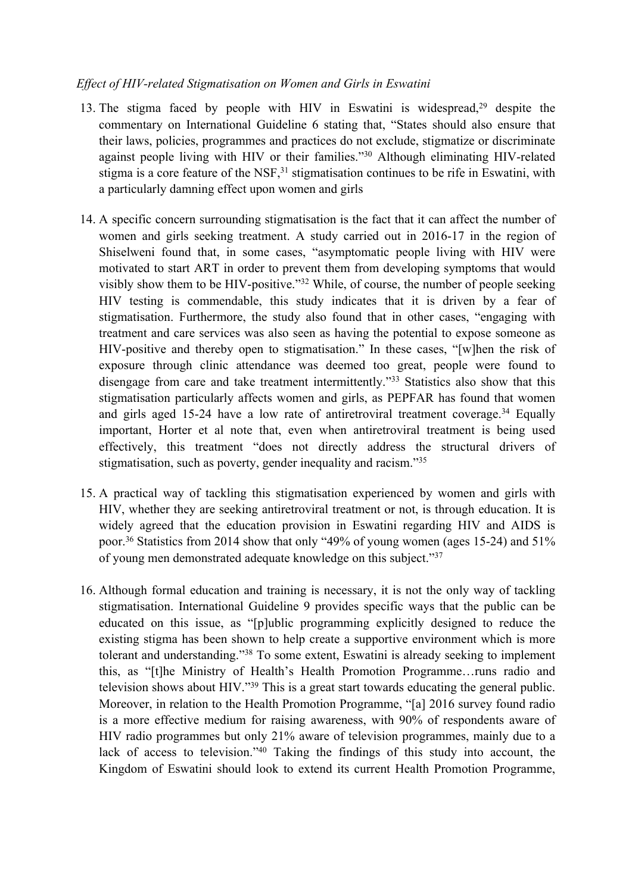## *Effect of HIV-related Stigmatisation on Women and Girls in Eswatini*

- 13. The stigma faced by people with HIV in Eswatini is widespread,<sup>29</sup> despite the commentary on International Guideline 6 stating that, "States should also ensure that their laws, policies, programmes and practices do not exclude, stigmatize or discriminate against people living with HIV or their families."<sup>30</sup> Although eliminating HIV-related stigma is a core feature of the NSF,<sup>31</sup> stigmatisation continues to be rife in Eswatini, with <sup>a</sup> particularly damning effect upon women and girls
- 14. A specific concern surrounding stigmatisation is the fact that it can affect the number of women and girls seeking treatment. A study carried out in 2016-17 in the region of Shiselweni found that, in some cases, "asymptomatic people living with HIV were motivated to start ART in order to preven<sup>t</sup> them from developing symptoms that would visibly show them to be HIV-positive."<sup>32</sup> While, of course, the number of people seeking HIV testing is commendable, this study indicates that it is driven by <sup>a</sup> fear of stigmatisation. Furthermore, the study also found that in other cases, "engaging with treatment and care services was also seen as having the potential to expose someone as HIV-positive and thereby open to stigmatisation." In these cases, "[w]hen the risk of exposure through clinic attendance was deemed too great, people were found to disengage from care and take treatment intermittently."<sup>33</sup> Statistics also show that this stigmatisation particularly affects women and girls, as PEPFAR has found that women and girls aged 15-24 have a low rate of antiretroviral treatment coverage.<sup>34</sup> Equally important, Horter et al note that, even when antiretroviral treatment is being used effectively, this treatment "does not directly address the structural drivers of stigmatisation, such as poverty, gender inequality and racism."<sup>35</sup>
- 15. A practical way of tackling this stigmatisation experienced by women and girls with HIV, whether they are seeking antiretroviral treatment or not, is through education. It is widely agreed that the education provision in Eswatini regarding HIV and AIDS is poor. 36 Statistics from 2014 show that only "49% of young women (ages 15-24) and 51% of young men demonstrated adequate knowledge on this subject."<sup>37</sup>
- 16. Although formal education and training is necessary, it is not the only way of tackling stigmatisation. International Guideline 9 provides specific ways that the public can be educated on this issue, as "[p]ublic programming explicitly designed to reduce the existing stigma has been shown to help create <sup>a</sup> supportive environment which is more tolerant and understanding."<sup>38</sup> To some extent, Eswatini is already seeking to implement this, as "[t]he Ministry of Health'<sup>s</sup> Health Promotion Programme…runs radio and television shows about HIV."<sup>39</sup> This is <sup>a</sup> grea<sup>t</sup> start towards educating the general public. Moreover, in relation to the Health Promotion Programme, "[a] 2016 survey found radio is <sup>a</sup> more effective medium for raising awareness, with 90% of respondents aware of HIV radio programmes but only 21% aware of television programmes, mainly due to <sup>a</sup> lack of access to television."<sup>40</sup> Taking the findings of this study into account, the Kingdom of Eswatini should look to extend its current Health Promotion Programme,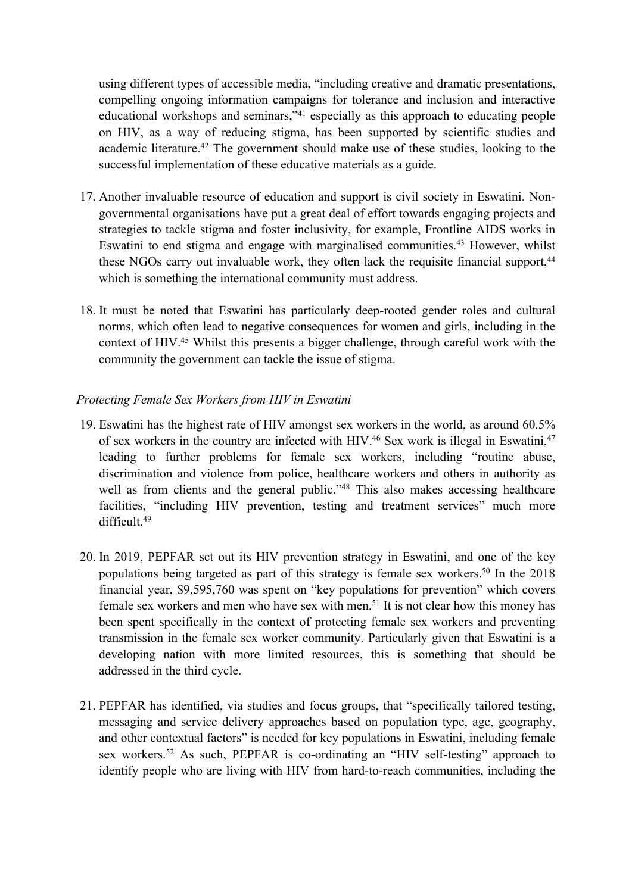using different types of accessible media, "including creative and dramatic presentations, compelling ongoing information campaigns for tolerance and inclusion and interactive educational workshops and seminars,"<sup>41</sup> especially as this approach to educating people on HIV, as <sup>a</sup> way of reducing stigma, has been supported by scientific studies and academic literature.<sup>42</sup> The government should make use of these studies, looking to the successful implementation of these educative materials as <sup>a</sup> guide.

- 17. Another invaluable resource of education and suppor<sup>t</sup> is civil society in Eswatini. Nongovernmental organisations have pu<sup>t</sup> <sup>a</sup> grea<sup>t</sup> deal of effort towards engaging projects and strategies to tackle stigma and foster inclusivity, for example, Frontline AIDS works in Eswatini to end stigma and engage with marginalised communities. <sup>43</sup> However, whilst these NGOs carry out invaluable work, they often lack the requisite financial support,<sup>44</sup> which is something the international community must address.
- 18. It must be noted that Eswatini has particularly deep-rooted gender roles and cultural norms, which often lead to negative consequences for women and girls, including in the context of HIV. <sup>45</sup> Whilst this presents <sup>a</sup> bigger challenge, through careful work with the community the governmen<sup>t</sup> can tackle the issue of stigma.

## *Protecting Female Sex Workers from HIV in Eswatini*

- 19. Eswatini has the highest rate of HIV amongs<sup>t</sup> sex workers in the world, as around 60.5% of sex workers in the country are infected with HIV. 46 Sex work is illegal in Eswatini, 47 leading to further problems for female sex workers, including "routine abuse, discrimination and violence from police, healthcare workers and others in authority as well as from clients and the general public."<sup>48</sup> This also makes accessing healthcare facilities, "including HIV prevention, testing and treatment services" much more difficult. 49
- 20. In 2019, PEPFAR set out its HIV prevention strategy in Eswatini, and one of the key populations being targeted as par<sup>t</sup> of this strategy is female sex workers. 50 In the 2018 financial year, \$9,595,760 was spen<sup>t</sup> on "key populations for prevention" which covers female sex workers and men who have sex with men.<sup>51</sup> It is not clear how this money has been spen<sup>t</sup> specifically in the context of protecting female sex workers and preventing transmission in the female sex worker community. Particularly given that Eswatini is <sup>a</sup> developing nation with more limited resources, this is something that should be addressed in the third cycle.
- 21. PEPFAR has identified, via studies and focus groups, that "specifically tailored testing, messaging and service delivery approaches based on population type, age, geography, and other contextual factors" is needed for key populations in Eswatini, including female sex workers. <sup>52</sup> As such, PEPFAR is co-ordinating an "HIV self-testing" approach to identify people who are living with HIV from hard-to-reach communities, including the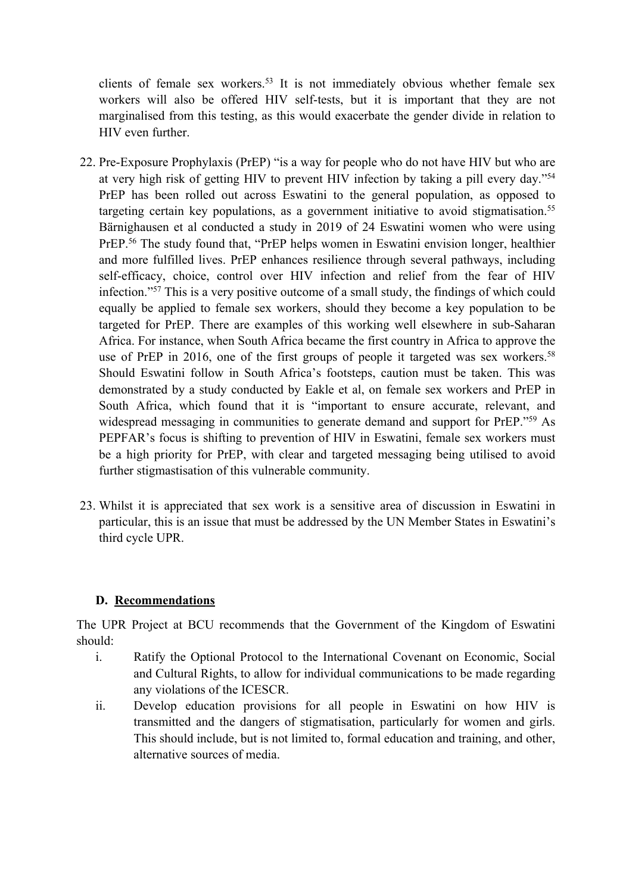clients of female sex workers. 53 It is not immediately obvious whether female sex workers will also be offered HIV self-tests, but it is important that they are not marginalised from this testing, as this would exacerbate the gender divide in relation to HIV even further.

- 22. Pre-Exposure Prophylaxis (PrEP) "is <sup>a</sup> way for people who do not have HIV but who are at very high risk of getting HIV to preven<sup>t</sup> HIV infection by taking <sup>a</sup> <sup>p</sup>ill every day."<sup>54</sup> PrEP has been rolled out across Eswatini to the general population, as opposed to targeting certain key populations, as a government initiative to avoid stigmatisation.<sup>55</sup> Bärnighausen et al conducted <sup>a</sup> study in 2019 of 24 Eswatini women who were using PrEP.<sup>56</sup> The study found that, "PrEP helps women in Eswatini envision longer, healthier and more fulfilled lives. PrEP enhances resilience through several pathways, including self-efficacy, choice, control over HIV infection and relief from the fear of HIV infection."<sup>57</sup> This is <sup>a</sup> very positive outcome of <sup>a</sup> small study, the findings of which could equally be applied to female sex workers, should they become <sup>a</sup> key population to be targeted for PrEP. There are examples of this working well elsewhere in sub-Saharan Africa. For instance, when South Africa became the first country in Africa to approve the use of PrEP in 2016, one of the first groups of people it targeted was sex workers.<sup>58</sup> Should Eswatini follow in South Africa'<sup>s</sup> footsteps, caution must be taken. This was demonstrated by <sup>a</sup> study conducted by Eakle et al, on female sex workers and PrEP in South Africa, which found that it is "important to ensure accurate, relevant, and widespread messaging in communities to generate demand and support for PrEP."<sup>59</sup> As PEPFAR'<sup>s</sup> focus is shifting to prevention of HIV in Eswatini, female sex workers must be <sup>a</sup> high priority for PrEP, with clear and targeted messaging being utilised to avoid further stigmastisation of this vulnerable community.
- 23. Whilst it is appreciated that sex work is <sup>a</sup> sensitive area of discussion in Eswatini in particular, this is an issue that must be addressed by the UN Member States in Eswatini'<sup>s</sup> third cycle UPR.

# **D. Recommendations**

The UPR Project at BCU recommends that the Government of the Kingdom of Eswatini should:

- i. Ratify the Optional Protocol to the International Covenant on Economic, Social and Cultural Rights, to allow for individual communications to be made regarding any violations of the ICESCR.
- ii. Develop education provisions for all people in Eswatini on how HIV is transmitted and the dangers of stigmatisation, particularly for women and girls. This should include, but is not limited to, formal education and training, and other, alternative sources of media.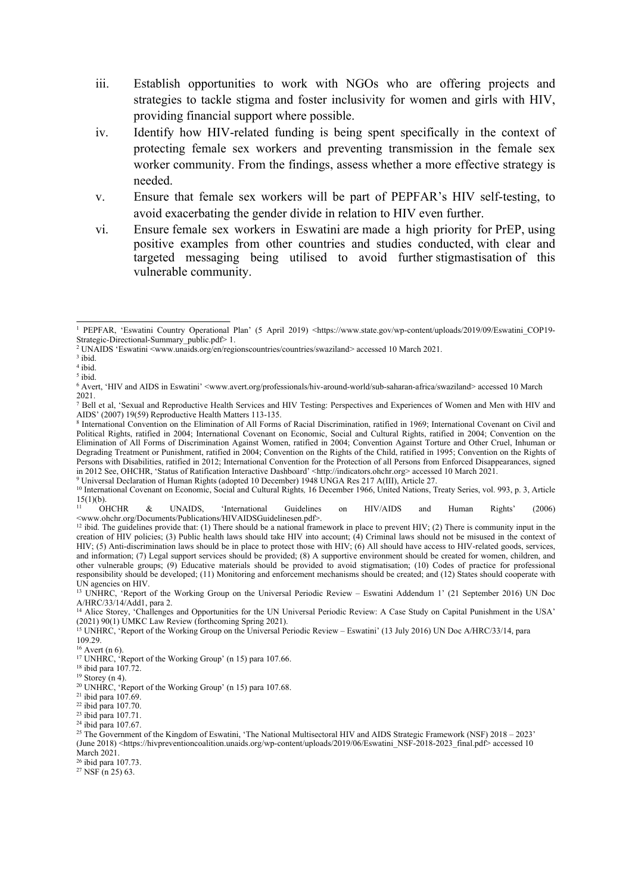- iii. Establish opportunities to work with NGOs who are offering projects and strategies to tackle stigma and foster inclusivity for women and girls with HIV, providing financial suppor<sup>t</sup> where possible.
- iv. Identify how HIV-related funding is being spen<sup>t</sup> specifically in the context of protecting female sex workers and preventing transmission in the female sex worker community. From the findings, assess whether <sup>a</sup> more effective strategy is needed.
- v. Ensure that female sex workers will be par<sup>t</sup> of PEPFAR'<sup>s</sup> HIV self-testing, to avoid exacerbating the gender divide in relation to HIV even further.
- vi. Ensure female sex workers in Eswatini are made <sup>a</sup> high priority for PrEP, using positive examples from other countries and studies conducted, with clear and targeted messaging being utilised to avoid further stigmastisation of this vulnerable community.

3 ibid.

<sup>11</sup> OHCHR & UNAIDS, 'International Guidelines on HIV/AIDS and Human Rights' (2006) <www.ohchr.org/Documents/Publications/HIVAIDSGuidelinesen.pdf>.

26 ibid para 107.73.

 $27$  NSF (n 25) 63.

<sup>1</sup> PEPFAR, 'Eswatini Country Operational Plan' (5 April 2019) <https://www.state.gov/wp-content/uploads/2019/09/Eswatini\_COP19-Strategic-Directional-Summary\_public.pdf> 1.

<sup>&</sup>lt;sup>2</sup> UNAIDS 'Eswatini <www.unaids.org/en/regionscountries/countries/swaziland> accessed 10 March 2021.

<sup>4</sup> ibid.

<sup>5</sup> ibid.

<sup>6</sup> Avert, 'HIV and AIDS in Eswatini' <www.avert.org/professionals/hiv-around-world/sub-saharan-africa/swaziland> accessed 10 March 2021.

<sup>7</sup> Bell et al, 'Sexual and Reproductive Health Services and HIV Testing: Perspectives and Experiences of Women and Men with HIV and AIDS' (2007) 19(59) Reproductive Health Matters 113-135.

<sup>8</sup> International Convention on the Elimination of All Forms of Racial Discrimination, ratified in 1969; International Covenant on Civil and Political Rights, ratified in 2004; International Covenant on Economic, Social and Cultural Rights, ratified in 2004; Convention on the Elimination of All Forms of Discrimination Against Women, ratified in 2004; Convention Against Torture and Other Cruel, Inhuman or Degrading Treatment or Punishment, ratified in 2004; Convention on the Rights of the Child, ratified in 1995; Convention on the Rights of Persons with Disabilities, ratified in 2012; International Convention for the Protection of all Persons from Enforced Disappearances, signed in 2012 See, OHCHR, 'Status of Ratification Interactive Dashboard' <http://indicators.ohchr.org> accessed 10 March 2021.

<sup>9</sup> Universal Declaration of Human Rights (adopted 10 December) 1948 UNGA Res 217 A(III), Article 27.

<sup>10</sup> International Covenant on Economic, Social and Cultural Rights*,* 16 December 1966, United Nations, Treaty Series, vol. 993, p. 3, Article  $15(1)(b)$ .<br>
<sup>11</sup> OHCHR

<sup>&</sup>lt;sup>12</sup> ibid. The guidelines provide that: (1) There should be a national framework in place to prevent HIV; (2) There is community input in the creation of HIV policies; (3) Public health laws should take HIV into account; (4) Criminal laws should not be misused in the context of HIV; (5) Anti-discrimination laws should be in place to protect those with HIV; (6) All should have access to HIV-related goods, services, and information; (7) Legal suppor<sup>t</sup> services should be provided; (8) A supportive environment should be created for women, children, and other vulnerable groups; (9) Educative materials should be provided to avoid stigmatisation; (10) Codes of practice for professional responsibility should be developed; (11) Monitoring and enforcement mechanisms should be created; and (12) States should cooperate with UN agencies on HIV.

<sup>13</sup> UNHRC, 'Report of the Working Group on the Universal Periodic Review – Eswatini Addendum <sup>1</sup>' (21 September 2016) UN Doc A/HRC/33/14/Add1, para 2.

<sup>&</sup>lt;sup>14</sup> Alice Storey, 'Challenges and Opportunities for the UN Universal Periodic Review: A Case Study on Capital Punishment in the USA' (2021) 90(1) UMKC Law Review (forthcoming Spring 2021).

<sup>&</sup>lt;sup>15</sup> UNHRC, 'Report of the Working Group on the Universal Periodic Review – Eswatini' (13 July 2016) UN Doc A/HRC/33/14, para 109.29.

 $6$  Avert (n 6).

<sup>&</sup>lt;sup>17</sup> UNHRC, 'Report of the Working Group' (n 15) para 107.66.

<sup>18</sup> ibid para 107.72.

 $19$  Storey (n 4).

<sup>20</sup> UNHRC, 'Report of the Working Group' (n 15) para 107.68.

<sup>21</sup> ibid para 107.69.

<sup>22</sup> ibid para 107.70.

<sup>23</sup> ibid para 107.71.

<sup>24</sup> ibid para 107.67.

<sup>&</sup>lt;sup>25</sup> The Government of the Kingdom of Eswatini, 'The National Multisectoral HIV and AIDS Strategic Framework (NSF) 2018 – 2023' (June 2018) <https://hivpreventioncoalition.unaids.org/wp-content/uploads/2019/06/Eswatini\_NSF-2018-2023\_final.pdf> accessed 10 March 2021.